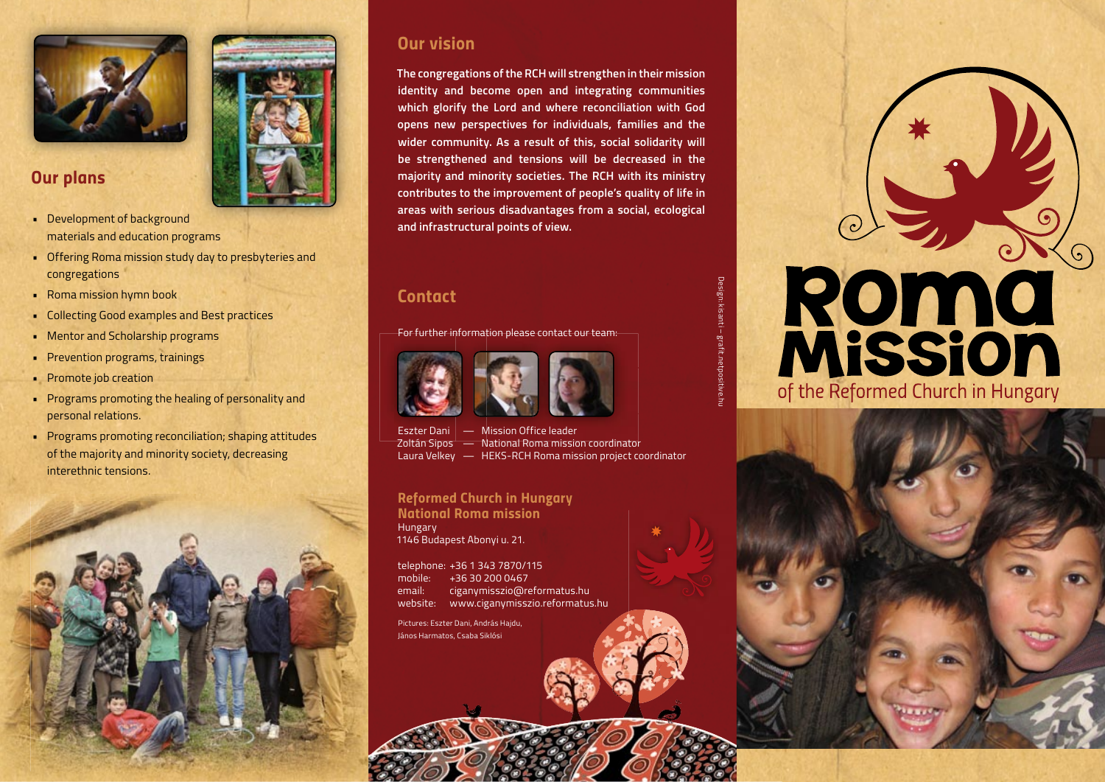

### *Our plans*

- Development of background materials and education programs
- Offering Roma mission study day to presbyteries and congregations
- Roma mission hymn book
- Collecting Good examples and Best practices
- Mentor and Scholarship programs
- Prevention programs, trainings
- Promote job creation
- Programs promoting the healing of personality and personal relations.
- Programs promoting reconciliation; shaping attitudes of the majority and minority society, decreasing interethnic tensions.



# *Our vision*

**The congregations of the RCH will strengthen in their mission identity and become open and integrating communities which glorify the Lord and where reconciliation with God opens new perspectives for individuals, families and the wider community. As a result of this, social solidarity will be strengthened and tensions will be decreased in the majority and minority societies. The RCH with its ministry contributes to the improvement of people's quality of life in areas with serious disadvantages from a social, ecological and infrastructural points of view.** 

## *Contact*

For further information please contact our team:





Eszter Dani | — Mission Office leader Zoltán Sipos — National Roma mission coordinator Laura Velkey — HEKS-RCH Roma mission project coordinator

*Reformed Church in Hungary National Roma mission* Hungary 1146 Budapest Abonyi u. 21.

telephone: +36 1 343 7870/115 mobile: +36 30 200 0467 email: ciganymisszio@reformatus.hu website: www.ciganymisszio.reformatus.hu

Pictures: Eszter Dani, András Hajdu, János Harmatos, Csaba Siklósi

# Design: kisanti – grafit.netpositive.hu

# Româ **Mission** of the Reformed Church in Hungary